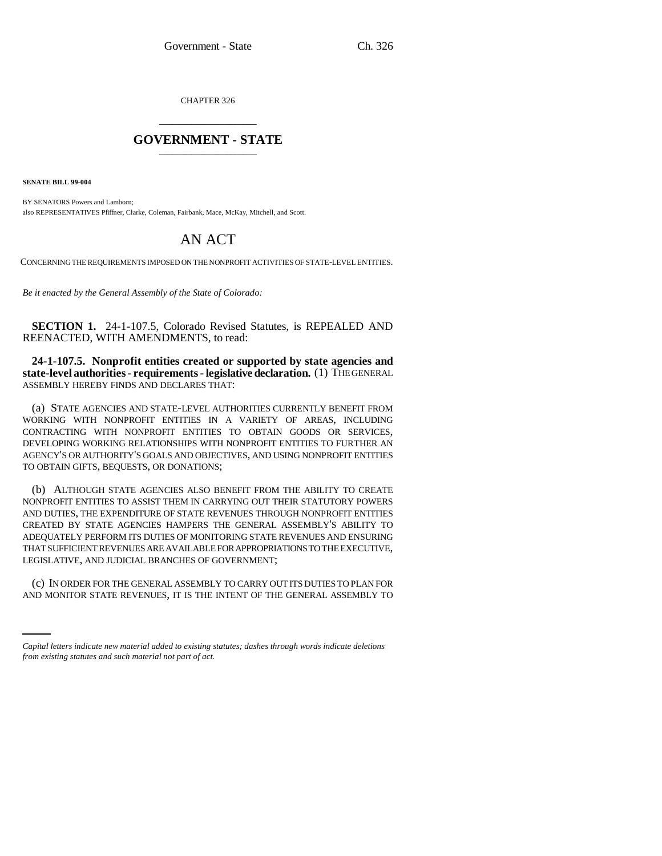CHAPTER 326 \_\_\_\_\_\_\_\_\_\_\_\_\_\_\_

## **GOVERNMENT - STATE** \_\_\_\_\_\_\_\_\_\_\_\_\_\_\_

**SENATE BILL 99-004** 

BY SENATORS Powers and Lamborn; also REPRESENTATIVES Pfiffner, Clarke, Coleman, Fairbank, Mace, McKay, Mitchell, and Scott.

## AN ACT

CONCERNING THE REQUIREMENTS IMPOSED ON THE NONPROFIT ACTIVITIES OF STATE-LEVEL ENTITIES.

*Be it enacted by the General Assembly of the State of Colorado:*

**SECTION 1.** 24-1-107.5, Colorado Revised Statutes, is REPEALED AND REENACTED, WITH AMENDMENTS, to read:

**24-1-107.5. Nonprofit entities created or supported by state agencies and state-level authorities - requirements - legislative declaration.** (1) THE GENERAL ASSEMBLY HEREBY FINDS AND DECLARES THAT:

(a) STATE AGENCIES AND STATE-LEVEL AUTHORITIES CURRENTLY BENEFIT FROM WORKING WITH NONPROFIT ENTITIES IN A VARIETY OF AREAS, INCLUDING CONTRACTING WITH NONPROFIT ENTITIES TO OBTAIN GOODS OR SERVICES, DEVELOPING WORKING RELATIONSHIPS WITH NONPROFIT ENTITIES TO FURTHER AN AGENCY'S OR AUTHORITY'S GOALS AND OBJECTIVES, AND USING NONPROFIT ENTITIES TO OBTAIN GIFTS, BEQUESTS, OR DONATIONS;

(b) ALTHOUGH STATE AGENCIES ALSO BENEFIT FROM THE ABILITY TO CREATE NONPROFIT ENTITIES TO ASSIST THEM IN CARRYING OUT THEIR STATUTORY POWERS AND DUTIES, THE EXPENDITURE OF STATE REVENUES THROUGH NONPROFIT ENTITIES CREATED BY STATE AGENCIES HAMPERS THE GENERAL ASSEMBLY'S ABILITY TO ADEQUATELY PERFORM ITS DUTIES OF MONITORING STATE REVENUES AND ENSURING THAT SUFFICIENT REVENUES ARE AVAILABLE FOR APPROPRIATIONS TO THE EXECUTIVE, LEGISLATIVE, AND JUDICIAL BRANCHES OF GOVERNMENT;

(c) IN ORDER FOR THE GENERAL ASSEMBLY TO CARRY OUT ITS DUTIES TO PLAN FOR AND MONITOR STATE REVENUES, IT IS THE INTENT OF THE GENERAL ASSEMBLY TO

*Capital letters indicate new material added to existing statutes; dashes through words indicate deletions from existing statutes and such material not part of act.*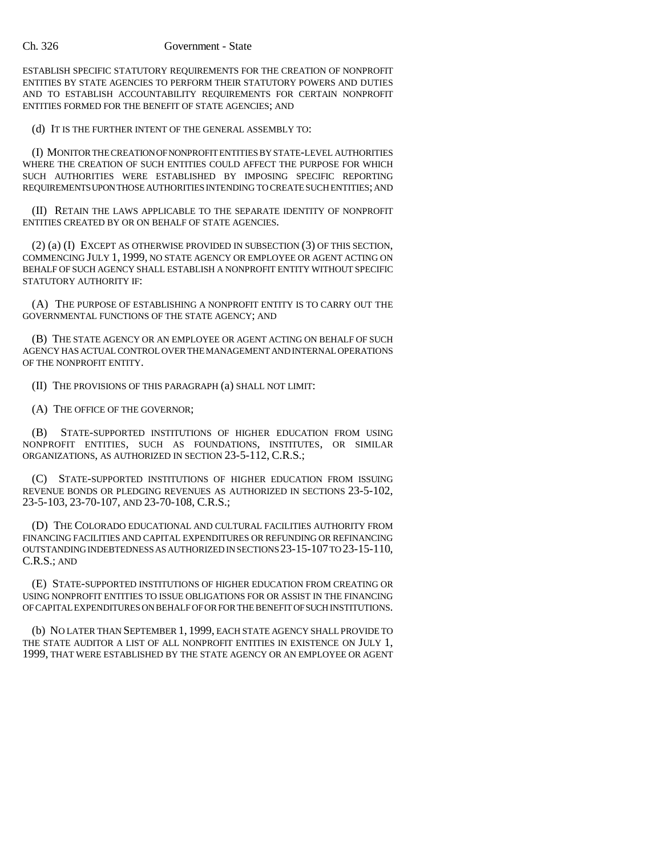ESTABLISH SPECIFIC STATUTORY REQUIREMENTS FOR THE CREATION OF NONPROFIT ENTITIES BY STATE AGENCIES TO PERFORM THEIR STATUTORY POWERS AND DUTIES AND TO ESTABLISH ACCOUNTABILITY REQUIREMENTS FOR CERTAIN NONPROFIT ENTITIES FORMED FOR THE BENEFIT OF STATE AGENCIES; AND

(d) IT IS THE FURTHER INTENT OF THE GENERAL ASSEMBLY TO:

(I) MONITOR THE CREATION OF NONPROFIT ENTITIES BY STATE-LEVEL AUTHORITIES WHERE THE CREATION OF SUCH ENTITIES COULD AFFECT THE PURPOSE FOR WHICH SUCH AUTHORITIES WERE ESTABLISHED BY IMPOSING SPECIFIC REPORTING REQUIREMENTS UPON THOSE AUTHORITIES INTENDING TO CREATE SUCH ENTITIES; AND

(II) RETAIN THE LAWS APPLICABLE TO THE SEPARATE IDENTITY OF NONPROFIT ENTITIES CREATED BY OR ON BEHALF OF STATE AGENCIES.

(2) (a) (I) EXCEPT AS OTHERWISE PROVIDED IN SUBSECTION (3) OF THIS SECTION, COMMENCING JULY 1, 1999, NO STATE AGENCY OR EMPLOYEE OR AGENT ACTING ON BEHALF OF SUCH AGENCY SHALL ESTABLISH A NONPROFIT ENTITY WITHOUT SPECIFIC STATUTORY AUTHORITY IF:

(A) THE PURPOSE OF ESTABLISHING A NONPROFIT ENTITY IS TO CARRY OUT THE GOVERNMENTAL FUNCTIONS OF THE STATE AGENCY; AND

(B) THE STATE AGENCY OR AN EMPLOYEE OR AGENT ACTING ON BEHALF OF SUCH AGENCY HAS ACTUAL CONTROL OVER THE MANAGEMENT AND INTERNAL OPERATIONS OF THE NONPROFIT ENTITY.

(II) THE PROVISIONS OF THIS PARAGRAPH (a) SHALL NOT LIMIT:

(A) THE OFFICE OF THE GOVERNOR;

(B) STATE-SUPPORTED INSTITUTIONS OF HIGHER EDUCATION FROM USING NONPROFIT ENTITIES, SUCH AS FOUNDATIONS, INSTITUTES, OR SIMILAR ORGANIZATIONS, AS AUTHORIZED IN SECTION 23-5-112, C.R.S.;

(C) STATE-SUPPORTED INSTITUTIONS OF HIGHER EDUCATION FROM ISSUING REVENUE BONDS OR PLEDGING REVENUES AS AUTHORIZED IN SECTIONS 23-5-102, 23-5-103, 23-70-107, AND 23-70-108, C.R.S.;

(D) THE COLORADO EDUCATIONAL AND CULTURAL FACILITIES AUTHORITY FROM FINANCING FACILITIES AND CAPITAL EXPENDITURES OR REFUNDING OR REFINANCING OUTSTANDING INDEBTEDNESS AS AUTHORIZED IN SECTIONS 23-15-107 TO 23-15-110, C.R.S.; AND

(E) STATE-SUPPORTED INSTITUTIONS OF HIGHER EDUCATION FROM CREATING OR USING NONPROFIT ENTITIES TO ISSUE OBLIGATIONS FOR OR ASSIST IN THE FINANCING OF CAPITAL EXPENDITURES ON BEHALF OF OR FOR THE BENEFIT OF SUCH INSTITUTIONS.

(b) NO LATER THAN SEPTEMBER 1, 1999, EACH STATE AGENCY SHALL PROVIDE TO THE STATE AUDITOR A LIST OF ALL NONPROFIT ENTITIES IN EXISTENCE ON JULY 1, 1999, THAT WERE ESTABLISHED BY THE STATE AGENCY OR AN EMPLOYEE OR AGENT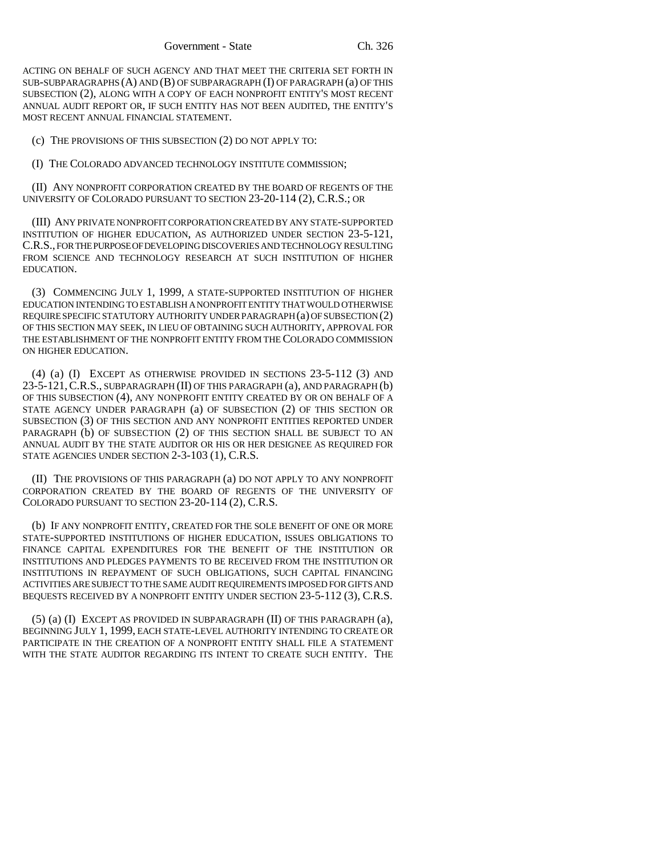ACTING ON BEHALF OF SUCH AGENCY AND THAT MEET THE CRITERIA SET FORTH IN SUB-SUBPARAGRAPHS (A) AND (B) OF SUBPARAGRAPH (I) OF PARAGRAPH (a) OF THIS SUBSECTION (2), ALONG WITH A COPY OF EACH NONPROFIT ENTITY'S MOST RECENT ANNUAL AUDIT REPORT OR, IF SUCH ENTITY HAS NOT BEEN AUDITED, THE ENTITY'S MOST RECENT ANNUAL FINANCIAL STATEMENT.

(c) THE PROVISIONS OF THIS SUBSECTION (2) DO NOT APPLY TO:

(I) THE COLORADO ADVANCED TECHNOLOGY INSTITUTE COMMISSION;

(II) ANY NONPROFIT CORPORATION CREATED BY THE BOARD OF REGENTS OF THE UNIVERSITY OF COLORADO PURSUANT TO SECTION 23-20-114 (2), C.R.S.; OR

(III) ANY PRIVATE NONPROFIT CORPORATION CREATED BY ANY STATE-SUPPORTED INSTITUTION OF HIGHER EDUCATION, AS AUTHORIZED UNDER SECTION 23-5-121, C.R.S., FOR THE PURPOSE OF DEVELOPING DISCOVERIES AND TECHNOLOGY RESULTING FROM SCIENCE AND TECHNOLOGY RESEARCH AT SUCH INSTITUTION OF HIGHER EDUCATION.

(3) COMMENCING JULY 1, 1999, A STATE-SUPPORTED INSTITUTION OF HIGHER EDUCATION INTENDING TO ESTABLISH A NONPROFIT ENTITY THAT WOULD OTHERWISE REQUIRE SPECIFIC STATUTORY AUTHORITY UNDER PARAGRAPH (a) OF SUBSECTION (2) OF THIS SECTION MAY SEEK, IN LIEU OF OBTAINING SUCH AUTHORITY, APPROVAL FOR THE ESTABLISHMENT OF THE NONPROFIT ENTITY FROM THE COLORADO COMMISSION ON HIGHER EDUCATION.

(4) (a) (I) EXCEPT AS OTHERWISE PROVIDED IN SECTIONS 23-5-112 (3) AND 23-5-121,C.R.S., SUBPARAGRAPH (II) OF THIS PARAGRAPH (a), AND PARAGRAPH (b) OF THIS SUBSECTION (4), ANY NONPROFIT ENTITY CREATED BY OR ON BEHALF OF A STATE AGENCY UNDER PARAGRAPH (a) OF SUBSECTION (2) OF THIS SECTION OR SUBSECTION (3) OF THIS SECTION AND ANY NONPROFIT ENTITIES REPORTED UNDER PARAGRAPH (b) OF SUBSECTION (2) OF THIS SECTION SHALL BE SUBJECT TO AN ANNUAL AUDIT BY THE STATE AUDITOR OR HIS OR HER DESIGNEE AS REQUIRED FOR STATE AGENCIES UNDER SECTION 2-3-103 (1), C.R.S.

(II) THE PROVISIONS OF THIS PARAGRAPH (a) DO NOT APPLY TO ANY NONPROFIT CORPORATION CREATED BY THE BOARD OF REGENTS OF THE UNIVERSITY OF COLORADO PURSUANT TO SECTION 23-20-114 (2), C.R.S.

(b) IF ANY NONPROFIT ENTITY, CREATED FOR THE SOLE BENEFIT OF ONE OR MORE STATE-SUPPORTED INSTITUTIONS OF HIGHER EDUCATION, ISSUES OBLIGATIONS TO FINANCE CAPITAL EXPENDITURES FOR THE BENEFIT OF THE INSTITUTION OR INSTITUTIONS AND PLEDGES PAYMENTS TO BE RECEIVED FROM THE INSTITUTION OR INSTITUTIONS IN REPAYMENT OF SUCH OBLIGATIONS, SUCH CAPITAL FINANCING ACTIVITIES ARE SUBJECT TO THE SAME AUDIT REQUIREMENTS IMPOSED FOR GIFTS AND BEQUESTS RECEIVED BY A NONPROFIT ENTITY UNDER SECTION 23-5-112 (3), C.R.S.

(5) (a) (I) EXCEPT AS PROVIDED IN SUBPARAGRAPH (II) OF THIS PARAGRAPH (a), BEGINNING JULY 1, 1999, EACH STATE-LEVEL AUTHORITY INTENDING TO CREATE OR PARTICIPATE IN THE CREATION OF A NONPROFIT ENTITY SHALL FILE A STATEMENT WITH THE STATE AUDITOR REGARDING ITS INTENT TO CREATE SUCH ENTITY. THE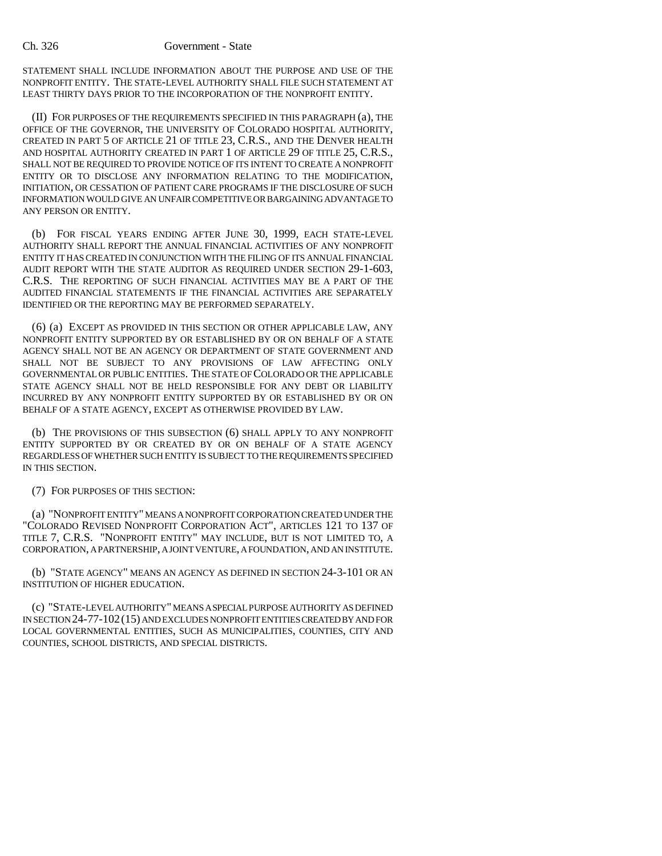## Ch. 326 Government - State

STATEMENT SHALL INCLUDE INFORMATION ABOUT THE PURPOSE AND USE OF THE NONPROFIT ENTITY. THE STATE-LEVEL AUTHORITY SHALL FILE SUCH STATEMENT AT LEAST THIRTY DAYS PRIOR TO THE INCORPORATION OF THE NONPROFIT ENTITY.

(II) FOR PURPOSES OF THE REQUIREMENTS SPECIFIED IN THIS PARAGRAPH (a), THE OFFICE OF THE GOVERNOR, THE UNIVERSITY OF COLORADO HOSPITAL AUTHORITY, CREATED IN PART 5 OF ARTICLE 21 OF TITLE 23, C.R.S., AND THE DENVER HEALTH AND HOSPITAL AUTHORITY CREATED IN PART 1 OF ARTICLE 29 OF TITLE 25, C.R.S., SHALL NOT BE REQUIRED TO PROVIDE NOTICE OF ITS INTENT TO CREATE A NONPROFIT ENTITY OR TO DISCLOSE ANY INFORMATION RELATING TO THE MODIFICATION, INITIATION, OR CESSATION OF PATIENT CARE PROGRAMS IF THE DISCLOSURE OF SUCH INFORMATION WOULD GIVE AN UNFAIR COMPETITIVE OR BARGAINING ADVANTAGE TO ANY PERSON OR ENTITY.

(b) FOR FISCAL YEARS ENDING AFTER JUNE 30, 1999, EACH STATE-LEVEL AUTHORITY SHALL REPORT THE ANNUAL FINANCIAL ACTIVITIES OF ANY NONPROFIT ENTITY IT HAS CREATED IN CONJUNCTION WITH THE FILING OF ITS ANNUAL FINANCIAL AUDIT REPORT WITH THE STATE AUDITOR AS REQUIRED UNDER SECTION 29-1-603, C.R.S. THE REPORTING OF SUCH FINANCIAL ACTIVITIES MAY BE A PART OF THE AUDITED FINANCIAL STATEMENTS IF THE FINANCIAL ACTIVITIES ARE SEPARATELY IDENTIFIED OR THE REPORTING MAY BE PERFORMED SEPARATELY.

(6) (a) EXCEPT AS PROVIDED IN THIS SECTION OR OTHER APPLICABLE LAW, ANY NONPROFIT ENTITY SUPPORTED BY OR ESTABLISHED BY OR ON BEHALF OF A STATE AGENCY SHALL NOT BE AN AGENCY OR DEPARTMENT OF STATE GOVERNMENT AND SHALL NOT BE SUBJECT TO ANY PROVISIONS OF LAW AFFECTING ONLY GOVERNMENTAL OR PUBLIC ENTITIES. THE STATE OF COLORADO OR THE APPLICABLE STATE AGENCY SHALL NOT BE HELD RESPONSIBLE FOR ANY DEBT OR LIABILITY INCURRED BY ANY NONPROFIT ENTITY SUPPORTED BY OR ESTABLISHED BY OR ON BEHALF OF A STATE AGENCY, EXCEPT AS OTHERWISE PROVIDED BY LAW.

(b) THE PROVISIONS OF THIS SUBSECTION (6) SHALL APPLY TO ANY NONPROFIT ENTITY SUPPORTED BY OR CREATED BY OR ON BEHALF OF A STATE AGENCY REGARDLESS OF WHETHER SUCH ENTITY IS SUBJECT TO THE REQUIREMENTS SPECIFIED IN THIS SECTION.

## (7) FOR PURPOSES OF THIS SECTION:

(a) "NONPROFIT ENTITY" MEANS A NONPROFIT CORPORATION CREATED UNDER THE "COLORADO REVISED NONPROFIT CORPORATION ACT", ARTICLES 121 TO 137 OF TITLE 7, C.R.S. "NONPROFIT ENTITY" MAY INCLUDE, BUT IS NOT LIMITED TO, A CORPORATION, A PARTNERSHIP, A JOINT VENTURE, A FOUNDATION, AND AN INSTITUTE.

(b) "STATE AGENCY" MEANS AN AGENCY AS DEFINED IN SECTION 24-3-101 OR AN INSTITUTION OF HIGHER EDUCATION.

(c) "STATE-LEVEL AUTHORITY" MEANS A SPECIAL PURPOSE AUTHORITY AS DEFINED IN SECTION 24-77-102(15) AND EXCLUDES NONPROFIT ENTITIES CREATED BY AND FOR LOCAL GOVERNMENTAL ENTITIES, SUCH AS MUNICIPALITIES, COUNTIES, CITY AND COUNTIES, SCHOOL DISTRICTS, AND SPECIAL DISTRICTS.